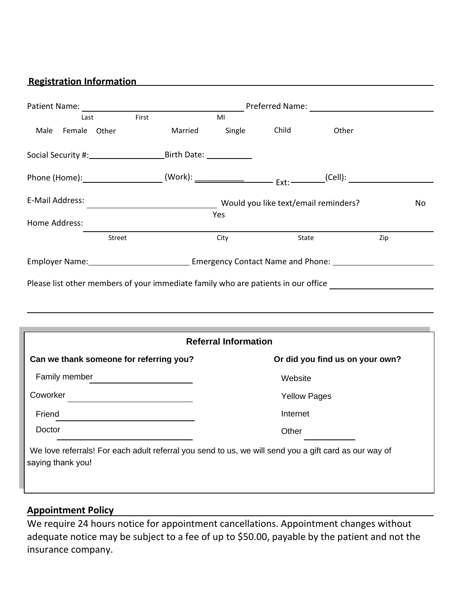# **Registration Information**

|                                                                                                                                                                                                                                                  | <b>Example 2016</b> Preferred Name: 2022 2023 2024 |                                            |                     |                                 |     |  |  |
|--------------------------------------------------------------------------------------------------------------------------------------------------------------------------------------------------------------------------------------------------|----------------------------------------------------|--------------------------------------------|---------------------|---------------------------------|-----|--|--|
| First<br>Last                                                                                                                                                                                                                                    |                                                    | MI                                         |                     |                                 |     |  |  |
| Female Other<br>Male                                                                                                                                                                                                                             |                                                    | Married Single                             | Child               | Other                           |     |  |  |
|                                                                                                                                                                                                                                                  |                                                    |                                            |                     |                                 |     |  |  |
|                                                                                                                                                                                                                                                  |                                                    |                                            |                     |                                 |     |  |  |
| E-Mail Address:                                                                                                                                                                                                                                  |                                                    | Would you like text/email reminders?<br>No |                     |                                 |     |  |  |
| Home Address:                                                                                                                                                                                                                                    |                                                    | Yes                                        |                     |                                 |     |  |  |
| Street                                                                                                                                                                                                                                           |                                                    | City                                       | State               |                                 | Zip |  |  |
| Employer Name: Cambridge Contact Name and Phone: Contact Name and Phone:                                                                                                                                                                         |                                                    |                                            |                     |                                 |     |  |  |
| Please list other members of your immediate family who are patients in our office                                                                                                                                                                |                                                    |                                            |                     |                                 |     |  |  |
|                                                                                                                                                                                                                                                  |                                                    |                                            |                     |                                 |     |  |  |
| ,我们就会在这里,我们就会在这里,我们就会在这里,我们就会在这里,我们就会在这里,我们就会在这里,我们就会在这里,我们就会在这里,我们就会在这里,我们就会在这里                                                                                                                                                                 |                                                    |                                            |                     |                                 |     |  |  |
|                                                                                                                                                                                                                                                  |                                                    | <b>Referral Information</b>                |                     |                                 |     |  |  |
| Can we thank someone for referring you?                                                                                                                                                                                                          |                                                    |                                            |                     | Or did you find us on your own? |     |  |  |
| Family member                                                                                                                                                                                                                                    |                                                    |                                            | Website             |                                 |     |  |  |
| Coworker<br><u>and the company of the company of the company of the company of the company of the company of the company of the company of the company of the company of the company of the company of the company of the company of the com</u> |                                                    |                                            | <b>Yellow Pages</b> |                                 |     |  |  |
| Friend                                                                                                                                                                                                                                           |                                                    |                                            | Internet            |                                 |     |  |  |
| Doctor                                                                                                                                                                                                                                           |                                                    |                                            | Other               |                                 |     |  |  |
| We love referrals! For each adult referral you send to us, we will send you a gift card as our way of<br>saying thank you!                                                                                                                       |                                                    |                                            |                     |                                 |     |  |  |
|                                                                                                                                                                                                                                                  |                                                    |                                            |                     |                                 |     |  |  |

# **Appointment Policy**

We require 24 hours notice for appointment cancellations. Appointment changes without adequate notice may be subject to a fee of up to \$50.00, payable by the patient and not the insurance company.